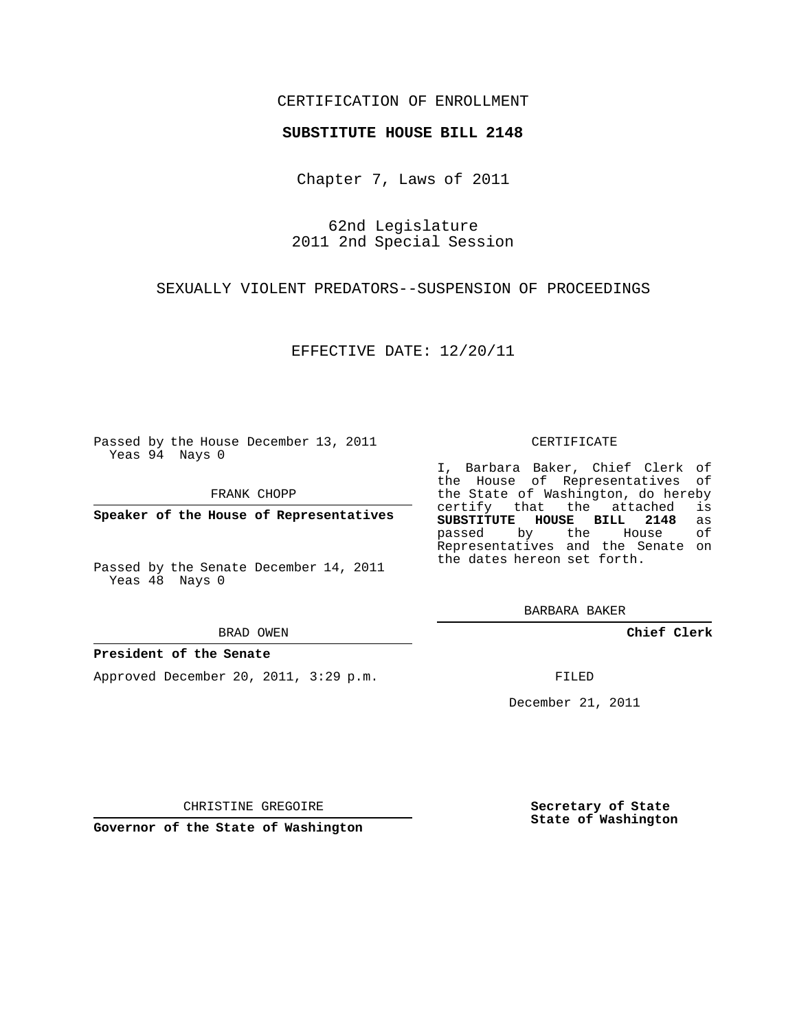## CERTIFICATION OF ENROLLMENT

## **SUBSTITUTE HOUSE BILL 2148**

Chapter 7, Laws of 2011

62nd Legislature 2011 2nd Special Session

SEXUALLY VIOLENT PREDATORS--SUSPENSION OF PROCEEDINGS

EFFECTIVE DATE: 12/20/11

Passed by the House December 13, 2011 Yeas 94 Nays 0

FRANK CHOPP

**Speaker of the House of Representatives**

Passed by the Senate December 14, 2011 Yeas 48 Nays 0

#### BRAD OWEN

## **President of the Senate**

Approved December 20, 2011, 3:29 p.m.

CERTIFICATE

I, Barbara Baker, Chief Clerk of the House of Representatives of the State of Washington, do hereby<br>certify that the attached is certify that the attached **SUBSTITUTE HOUSE BILL 2148** as passed by the House Representatives and the Senate on the dates hereon set forth.

BARBARA BAKER

**Chief Clerk**

FILED

December 21, 2011

CHRISTINE GREGOIRE

**Governor of the State of Washington**

**Secretary of State State of Washington**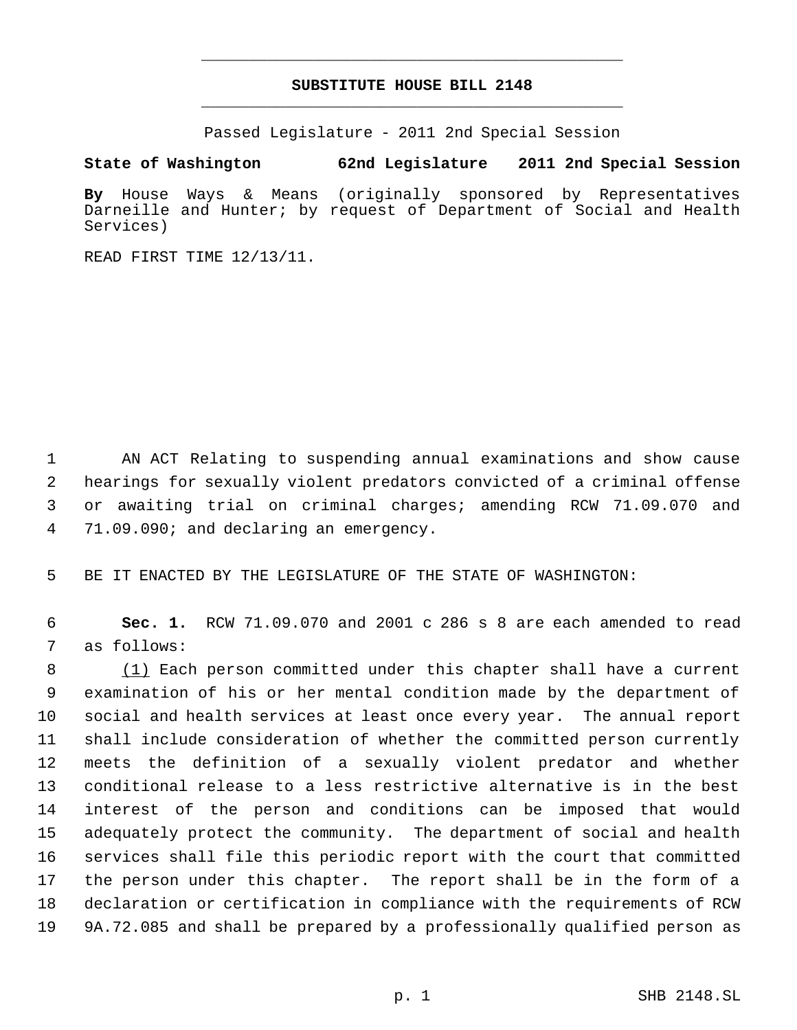# **SUBSTITUTE HOUSE BILL 2148** \_\_\_\_\_\_\_\_\_\_\_\_\_\_\_\_\_\_\_\_\_\_\_\_\_\_\_\_\_\_\_\_\_\_\_\_\_\_\_\_\_\_\_\_\_

\_\_\_\_\_\_\_\_\_\_\_\_\_\_\_\_\_\_\_\_\_\_\_\_\_\_\_\_\_\_\_\_\_\_\_\_\_\_\_\_\_\_\_\_\_

Passed Legislature - 2011 2nd Special Session

**State of Washington 62nd Legislature 2011 2nd Special Session**

**By** House Ways & Means (originally sponsored by Representatives Darneille and Hunter; by request of Department of Social and Health Services)

READ FIRST TIME 12/13/11.

 AN ACT Relating to suspending annual examinations and show cause hearings for sexually violent predators convicted of a criminal offense or awaiting trial on criminal charges; amending RCW 71.09.070 and 71.09.090; and declaring an emergency.

BE IT ENACTED BY THE LEGISLATURE OF THE STATE OF WASHINGTON:

 **Sec. 1.** RCW 71.09.070 and 2001 c 286 s 8 are each amended to read as follows:

8 (1) Each person committed under this chapter shall have a current examination of his or her mental condition made by the department of social and health services at least once every year. The annual report shall include consideration of whether the committed person currently meets the definition of a sexually violent predator and whether conditional release to a less restrictive alternative is in the best interest of the person and conditions can be imposed that would adequately protect the community. The department of social and health services shall file this periodic report with the court that committed the person under this chapter. The report shall be in the form of a declaration or certification in compliance with the requirements of RCW 9A.72.085 and shall be prepared by a professionally qualified person as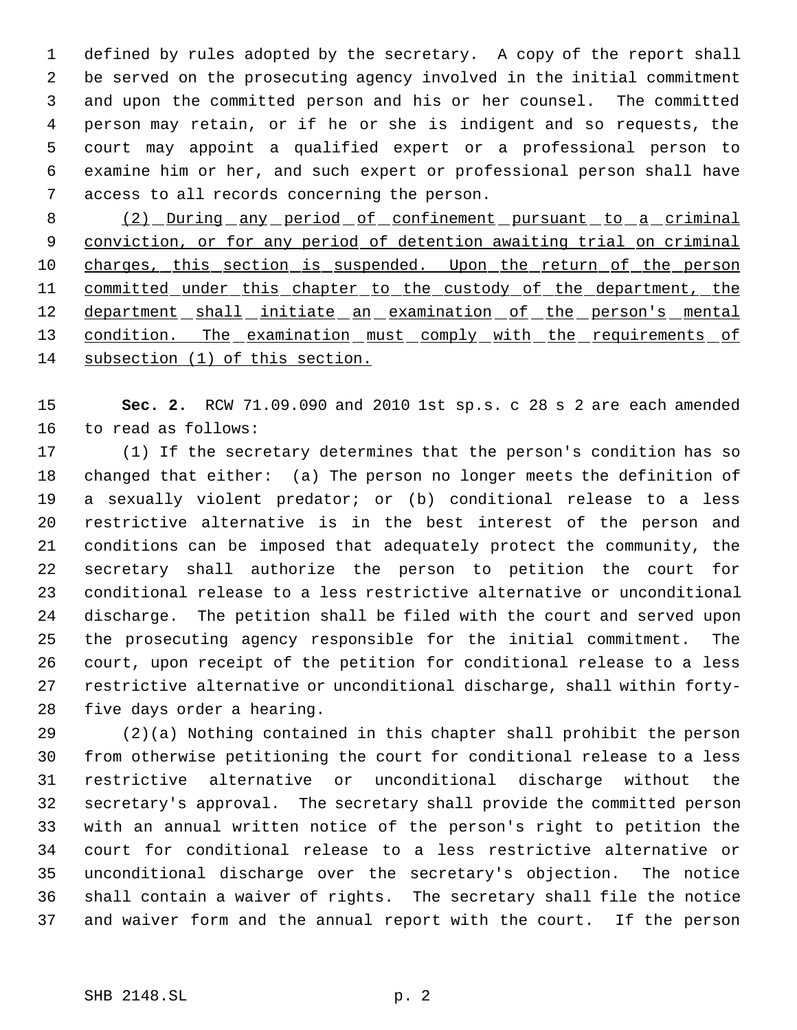defined by rules adopted by the secretary. A copy of the report shall be served on the prosecuting agency involved in the initial commitment and upon the committed person and his or her counsel. The committed person may retain, or if he or she is indigent and so requests, the court may appoint a qualified expert or a professional person to examine him or her, and such expert or professional person shall have access to all records concerning the person.

8 (2) During any period of confinement pursuant to a criminal conviction, or for any period of detention awaiting trial on criminal 10 charges, this section is suspended. Upon the return of the person 11 committed under this chapter to the custody of the department, the 12 department shall initiate an examination of the person's mental 13 condition. The examination must comply with the requirements of subsection (1) of this section.

 **Sec. 2.** RCW 71.09.090 and 2010 1st sp.s. c 28 s 2 are each amended to read as follows:

 (1) If the secretary determines that the person's condition has so changed that either: (a) The person no longer meets the definition of a sexually violent predator; or (b) conditional release to a less restrictive alternative is in the best interest of the person and conditions can be imposed that adequately protect the community, the secretary shall authorize the person to petition the court for conditional release to a less restrictive alternative or unconditional discharge. The petition shall be filed with the court and served upon the prosecuting agency responsible for the initial commitment. The court, upon receipt of the petition for conditional release to a less restrictive alternative or unconditional discharge, shall within forty-five days order a hearing.

 (2)(a) Nothing contained in this chapter shall prohibit the person from otherwise petitioning the court for conditional release to a less restrictive alternative or unconditional discharge without the secretary's approval. The secretary shall provide the committed person with an annual written notice of the person's right to petition the court for conditional release to a less restrictive alternative or unconditional discharge over the secretary's objection. The notice shall contain a waiver of rights. The secretary shall file the notice and waiver form and the annual report with the court. If the person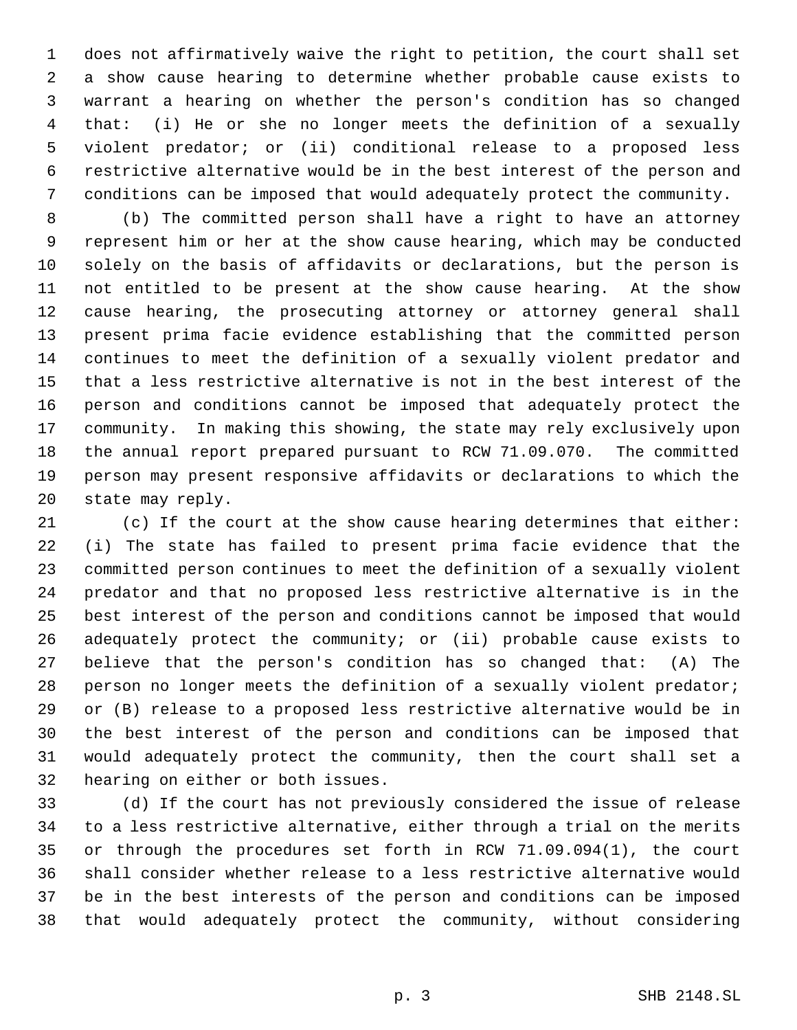does not affirmatively waive the right to petition, the court shall set a show cause hearing to determine whether probable cause exists to warrant a hearing on whether the person's condition has so changed that: (i) He or she no longer meets the definition of a sexually violent predator; or (ii) conditional release to a proposed less restrictive alternative would be in the best interest of the person and conditions can be imposed that would adequately protect the community.

 (b) The committed person shall have a right to have an attorney represent him or her at the show cause hearing, which may be conducted solely on the basis of affidavits or declarations, but the person is not entitled to be present at the show cause hearing. At the show cause hearing, the prosecuting attorney or attorney general shall present prima facie evidence establishing that the committed person continues to meet the definition of a sexually violent predator and that a less restrictive alternative is not in the best interest of the person and conditions cannot be imposed that adequately protect the community. In making this showing, the state may rely exclusively upon the annual report prepared pursuant to RCW 71.09.070. The committed person may present responsive affidavits or declarations to which the state may reply.

 (c) If the court at the show cause hearing determines that either: (i) The state has failed to present prima facie evidence that the committed person continues to meet the definition of a sexually violent predator and that no proposed less restrictive alternative is in the best interest of the person and conditions cannot be imposed that would adequately protect the community; or (ii) probable cause exists to believe that the person's condition has so changed that: (A) The person no longer meets the definition of a sexually violent predator; or (B) release to a proposed less restrictive alternative would be in the best interest of the person and conditions can be imposed that would adequately protect the community, then the court shall set a hearing on either or both issues.

 (d) If the court has not previously considered the issue of release to a less restrictive alternative, either through a trial on the merits or through the procedures set forth in RCW 71.09.094(1), the court shall consider whether release to a less restrictive alternative would be in the best interests of the person and conditions can be imposed that would adequately protect the community, without considering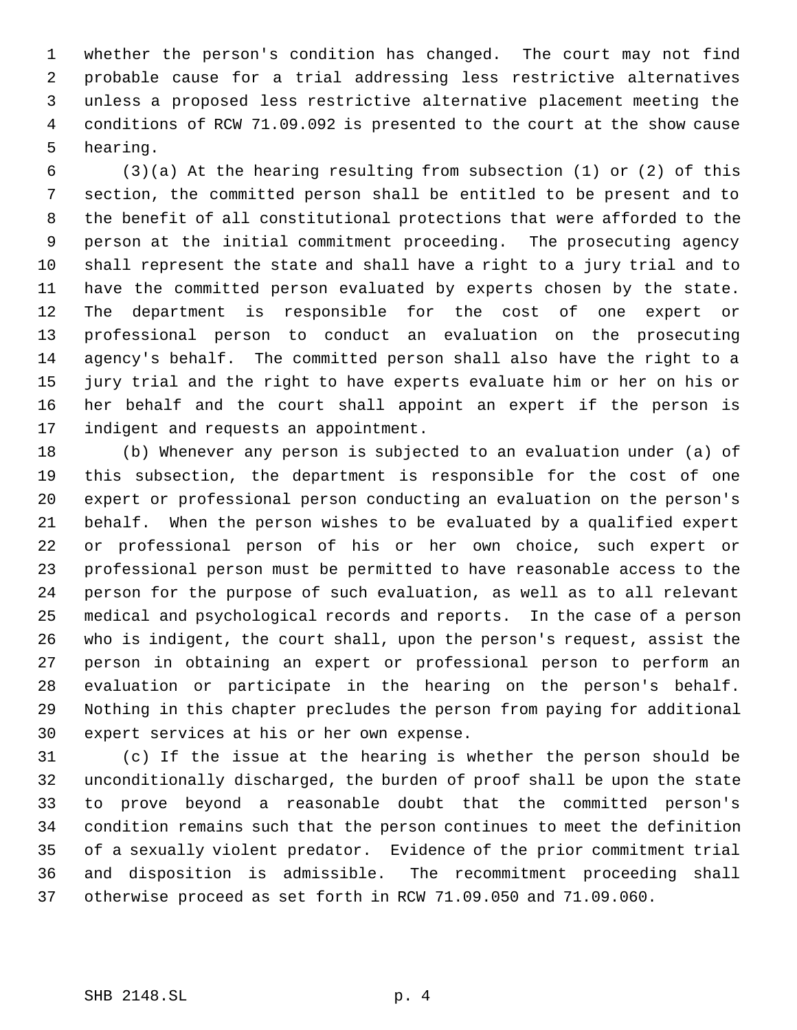whether the person's condition has changed. The court may not find probable cause for a trial addressing less restrictive alternatives unless a proposed less restrictive alternative placement meeting the conditions of RCW 71.09.092 is presented to the court at the show cause hearing.

 (3)(a) At the hearing resulting from subsection (1) or (2) of this section, the committed person shall be entitled to be present and to the benefit of all constitutional protections that were afforded to the person at the initial commitment proceeding. The prosecuting agency shall represent the state and shall have a right to a jury trial and to have the committed person evaluated by experts chosen by the state. The department is responsible for the cost of one expert or professional person to conduct an evaluation on the prosecuting agency's behalf. The committed person shall also have the right to a jury trial and the right to have experts evaluate him or her on his or her behalf and the court shall appoint an expert if the person is indigent and requests an appointment.

 (b) Whenever any person is subjected to an evaluation under (a) of this subsection, the department is responsible for the cost of one expert or professional person conducting an evaluation on the person's behalf. When the person wishes to be evaluated by a qualified expert or professional person of his or her own choice, such expert or professional person must be permitted to have reasonable access to the person for the purpose of such evaluation, as well as to all relevant medical and psychological records and reports. In the case of a person who is indigent, the court shall, upon the person's request, assist the person in obtaining an expert or professional person to perform an evaluation or participate in the hearing on the person's behalf. Nothing in this chapter precludes the person from paying for additional expert services at his or her own expense.

 (c) If the issue at the hearing is whether the person should be unconditionally discharged, the burden of proof shall be upon the state to prove beyond a reasonable doubt that the committed person's condition remains such that the person continues to meet the definition of a sexually violent predator. Evidence of the prior commitment trial and disposition is admissible. The recommitment proceeding shall otherwise proceed as set forth in RCW 71.09.050 and 71.09.060.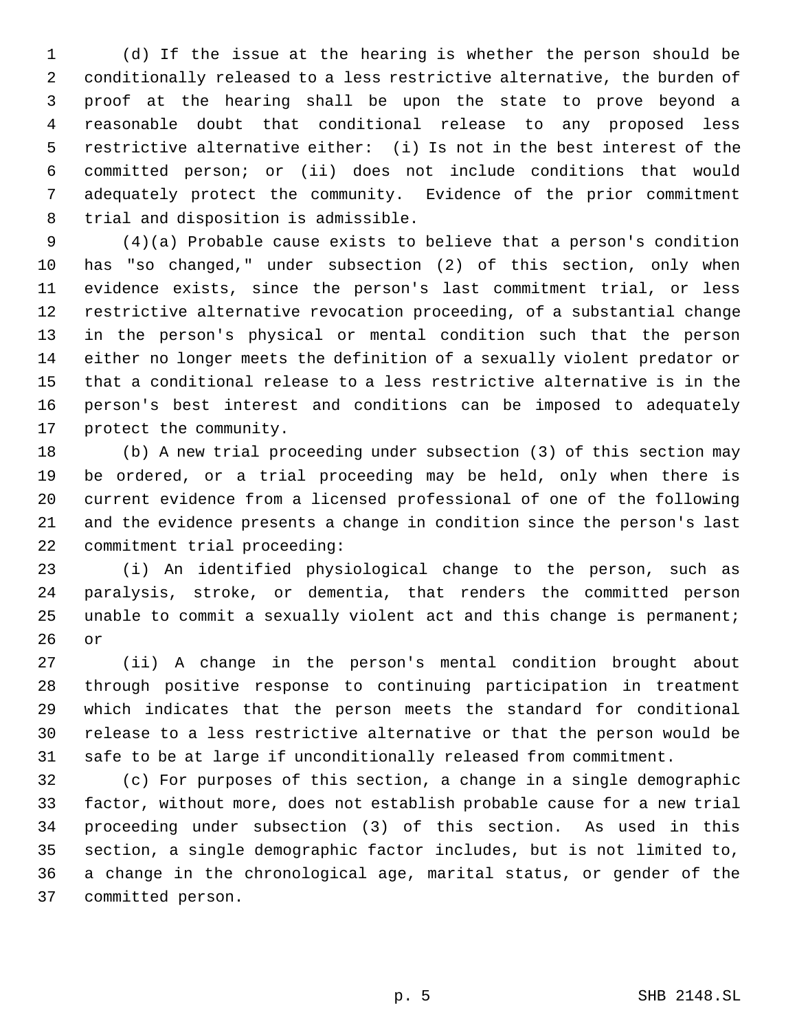(d) If the issue at the hearing is whether the person should be conditionally released to a less restrictive alternative, the burden of proof at the hearing shall be upon the state to prove beyond a reasonable doubt that conditional release to any proposed less restrictive alternative either: (i) Is not in the best interest of the committed person; or (ii) does not include conditions that would adequately protect the community. Evidence of the prior commitment trial and disposition is admissible.

 (4)(a) Probable cause exists to believe that a person's condition has "so changed," under subsection (2) of this section, only when evidence exists, since the person's last commitment trial, or less restrictive alternative revocation proceeding, of a substantial change in the person's physical or mental condition such that the person either no longer meets the definition of a sexually violent predator or that a conditional release to a less restrictive alternative is in the person's best interest and conditions can be imposed to adequately protect the community.

 (b) A new trial proceeding under subsection (3) of this section may be ordered, or a trial proceeding may be held, only when there is current evidence from a licensed professional of one of the following and the evidence presents a change in condition since the person's last commitment trial proceeding:

 (i) An identified physiological change to the person, such as paralysis, stroke, or dementia, that renders the committed person unable to commit a sexually violent act and this change is permanent; or

 (ii) A change in the person's mental condition brought about through positive response to continuing participation in treatment which indicates that the person meets the standard for conditional release to a less restrictive alternative or that the person would be safe to be at large if unconditionally released from commitment.

 (c) For purposes of this section, a change in a single demographic factor, without more, does not establish probable cause for a new trial proceeding under subsection (3) of this section. As used in this section, a single demographic factor includes, but is not limited to, a change in the chronological age, marital status, or gender of the committed person.